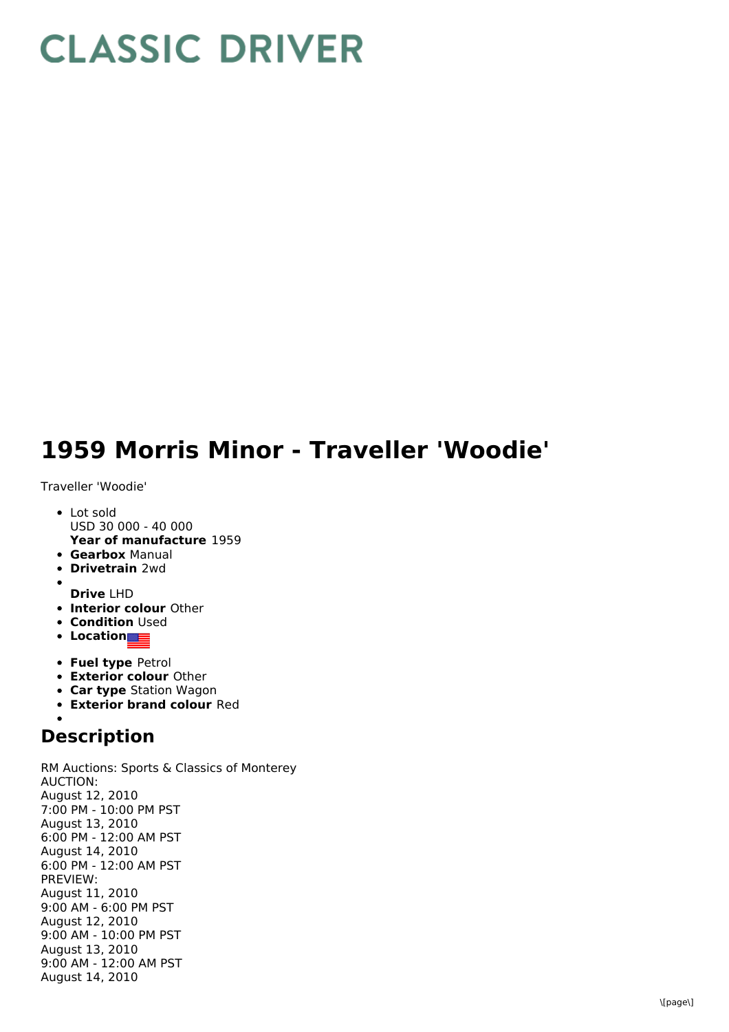## **CLASSIC DRIVER**

## **1959 Morris Minor - Traveller 'Woodie'**

Traveller 'Woodie'

- **Year of manufacture** 1959 • Lot sold USD 30 000 - 40 000
- **Gearbox** Manual
- **Drivetrain** 2wd
- **Drive** LHD
- **Interior colour** Other
- **Condition Used**
- **Location**
- **Fuel type** Petrol
- **Exterior colour** Other
- **Car type** Station Wagon
- **Exterior brand colour** Red

## **Description**

RM Auctions: Sports & Classics of Monterey AUCTION: August 12, 2010 7:00 PM - 10:00 PM PST August 13, 2010 6:00 PM - 12:00 AM PST August 14, 2010 6:00 PM - 12:00 AM PST PREVIEW: August 11, 2010 9:00 AM - 6:00 PM PST August 12, 2010 9:00 AM - 10:00 PM PST August 13, 2010 9:00 AM - 12:00 AM PST August 14, 2010